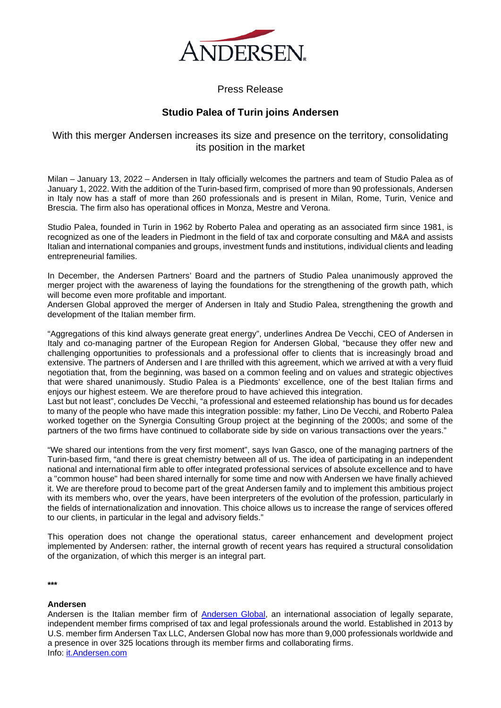

Press Release

## **Studio Palea of Turin joins Andersen**

## With this merger Andersen increases its size and presence on the territory, consolidating its position in the market

Milan – January 13, 2022 – Andersen in Italy officially welcomes the partners and team of Studio Palea as of January 1, 2022. With the addition of the Turin-based firm, comprised of more than 90 professionals, Andersen in Italy now has a staff of more than 260 professionals and is present in Milan, Rome, Turin, Venice and Brescia. The firm also has operational offices in Monza, Mestre and Verona.

Studio Palea, founded in Turin in 1962 by Roberto Palea and operating as an associated firm since 1981, is recognized as one of the leaders in Piedmont in the field of tax and corporate consulting and M&A and assists Italian and international companies and groups, investment funds and institutions, individual clients and leading entrepreneurial families.

In December, the Andersen Partners' Board and the partners of Studio Palea unanimously approved the merger project with the awareness of laying the foundations for the strengthening of the growth path, which will become even more profitable and important.

Andersen Global approved the merger of Andersen in Italy and Studio Palea, strengthening the growth and development of the Italian member firm.

"Aggregations of this kind always generate great energy", underlines Andrea De Vecchi, CEO of Andersen in Italy and co-managing partner of the European Region for Andersen Global, "because they offer new and challenging opportunities to professionals and a professional offer to clients that is increasingly broad and extensive. The partners of Andersen and I are thrilled with this agreement, which we arrived at with a very fluid negotiation that, from the beginning, was based on a common feeling and on values and strategic objectives that were shared unanimously. Studio Palea is a Piedmonts' excellence, one of the best Italian firms and enjoys our highest esteem. We are therefore proud to have achieved this integration.

Last but not least", concludes De Vecchi, "a professional and esteemed relationship has bound us for decades to many of the people who have made this integration possible: my father, Lino De Vecchi, and Roberto Palea worked together on the Synergia Consulting Group project at the beginning of the 2000s; and some of the partners of the two firms have continued to collaborate side by side on various transactions over the years."

"We shared our intentions from the very first moment", says Ivan Gasco, one of the managing partners of the Turin-based firm, "and there is great chemistry between all of us. The idea of participating in an independent national and international firm able to offer integrated professional services of absolute excellence and to have a "common house" had been shared internally for some time and now with Andersen we have finally achieved it. We are therefore proud to become part of the great Andersen family and to implement this ambitious project with its members who, over the years, have been interpreters of the evolution of the profession, particularly in the fields of internationalization and innovation. This choice allows us to increase the range of services offered to our clients, in particular in the legal and advisory fields."

This operation does not change the operational status, career enhancement and development project implemented by Andersen: rather, the internal growth of recent years has required a structural consolidation of the organization, of which this merger is an integral part.

**\*\*\***

## **Andersen**

Andersen is the Italian member firm of [Andersen Global,](https://global.andersen.com/people/ferrandi-andrea) an international association of legally separate, independent member firms comprised of tax and legal professionals around the world. Established in 2013 by U.S. member firm Andersen Tax LLC, Andersen Global now has more than 9,000 professionals worldwide and a presence in over 325 locations through its member firms and collaborating firms. Info: [it.Andersen.com](http://it.andersen.com/)